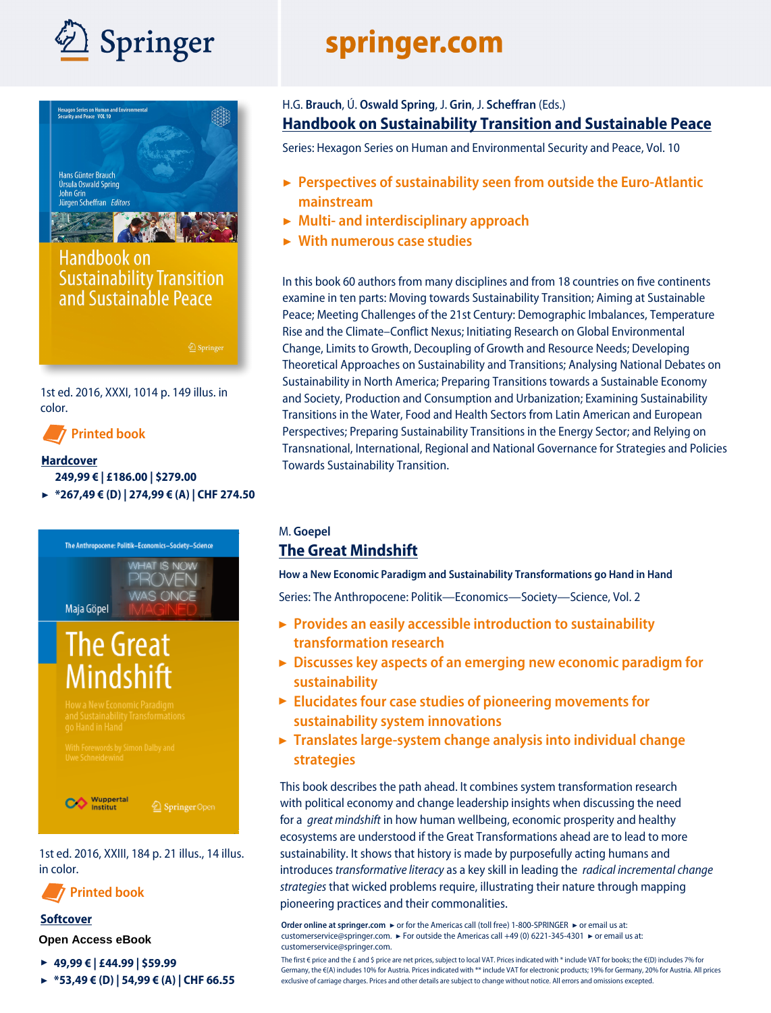



# **Handbook on Sustainability Transition** and Sustainable Peace

1st ed. 2016, XXXI, 1014 p. 149 illus. in color.

**Printed book**

#### ▶**Hardcover**

### **249,99 € | £186.00 | \$279.00**

▶ **[\\*267,49](http://www.springer.com/978-3-319-43882-5) € (D) | 274,99 € (A) | CHF 274.50**



1st ed. 2016, XXIII, 184 p. 21 illus., 14 illus. in color.

**Printed book**

#### **Softcover**

**Open Access eBook**

- ▶ **49,99 € | £44.99 | \$59.99**
- ▶ **\*53,49 € (D) | 54,99 € (A) | CHF 66.55**

# springer.com

## H.G. **Brauch**, Ú. **Oswald Spring**, J. **Grin**, J. **Scheffran** (Eds.) **Handbook on Sustainability Transition and Sustainable Peace**

[Series: Hexagon Series on Human and Environmental Security and Peace, Vol. 10](http://www.springer.com/978-3-319-43882-5)

- **▶ Perspectives of sustainability seen from outside the Euro-Atlantic mainstream**
- **▶ Multi- and interdisciplinary approach**
- **▶ With numerous case studies**

In this book 60 authors from many disciplines and from 18 countries on five continents examine in ten parts: Moving towards Sustainability Transition; Aiming at Sustainable Peace; Meeting Challenges of the 21st Century: Demographic Imbalances, Temperature Rise and the Climate–Conflict Nexus; Initiating Research on Global Environmental Change, Limits to Growth, Decoupling of Growth and Resource Needs; Developing Theoretical Approaches on Sustainability and Transitions; Analysing National Debates on Sustainability in North America; Preparing Transitions towards a Sustainable Economy and Society, Production and Consumption and Urbanization; Examining Sustainability Transitions in the Water, Food and Health Sectors from Latin American and European Perspectives; Preparing Sustainability Transitions in the Energy Sector; and Relying on Transnational, International, Regional and National Governance for Strategies and Policies Towards Sustainability Transition.

### M. **Goepel [The Great Mindshift](http://www.springer.com/de/book/9783319437651)**

**How a New Economic Paradigm and Sustainability Transformations go Hand in Hand** Series: The Anthropocene: Politik—Economics—Society—Science, Vol. 2

- **▶ Provides an easily accessible introduction to sustainability transformation research**
- **Discusses key aspects of an emerging new economic paradigm for ▶ sustainability**
- **Elucidates four case studies of pioneering movements for ▶ sustainability system innovations**
- **Translates large-system change analysis into individual change ▶ strategies**

This book describes the path ahead. It combines system transformation research with political economy and change leadership insights when discussing the need for a *great mindshift* in how human wellbeing, economic prosperity and healthy ecosystems are understood if the Great Transformations ahead are to lead to more sustainability. It shows that history is made by purposefully acting humans and introduces *transformative literacy* as a key skill in leading the *radical incremental change strategies* that wicked problems require, illustrating their nature through mapping [pioneering practices and their commonalities.](http://www.springer.com/de/book/9783319437651)

**Order online at springer.com** ► or for the Americas call (toll free) 1-800-SPRINGER ► or email us at: customerservice@springer.com. ▶ For outside the Americas call +49 (0) 6221-345-4301 ▶ or email us at: customerservice@springer.com.

The first € price and the £ and \$ price are net prices, subject to local VAT. Prices indicated with \* include VAT for books; the €(D) includes 7% for Germany, the €(A) includes 10% for Austria. Prices indicated with \*\* include VAT for electronic products; 19% for Germany, 20% for Austria. All prices exclusive of carriage charges. Prices and other details are subject to change without notice. All errors and omissions excepted.